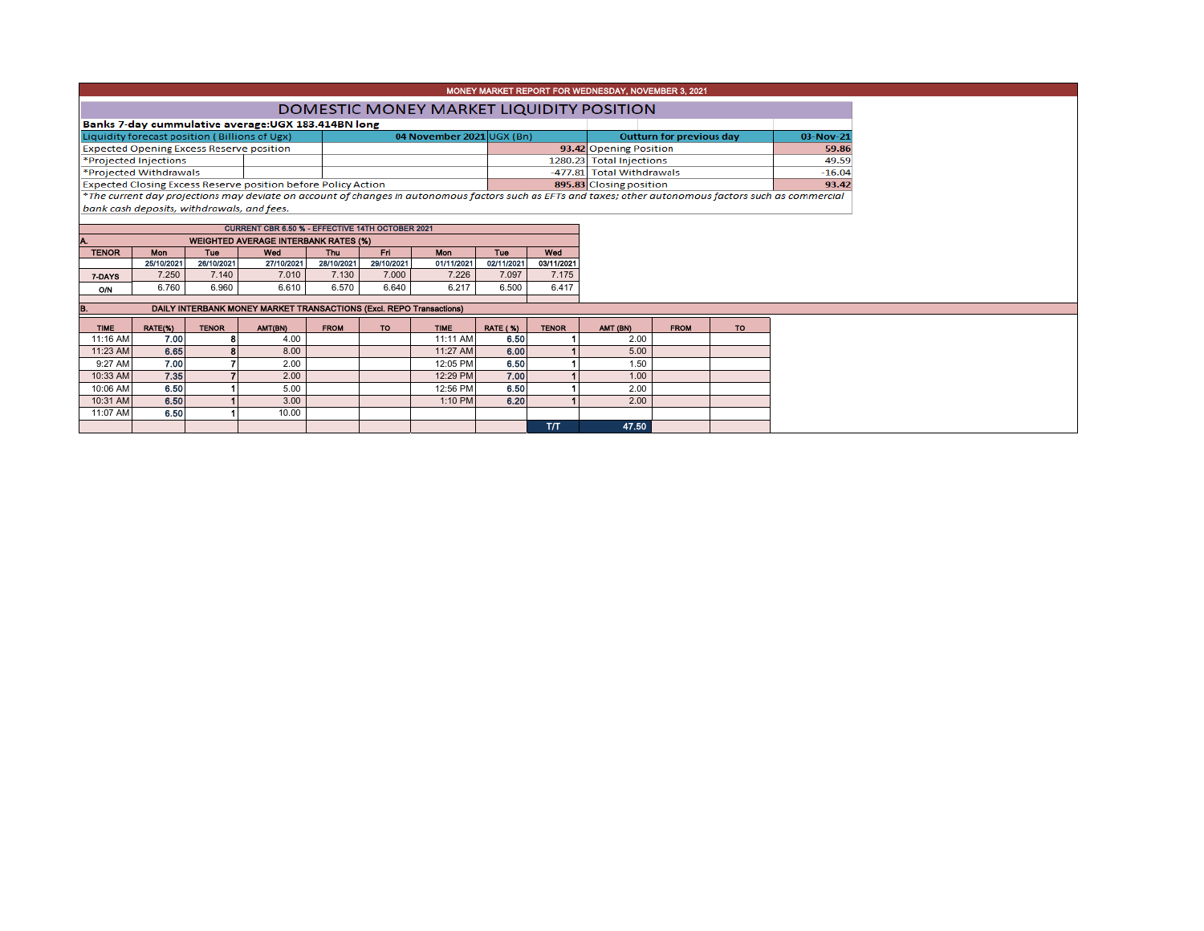| DOMESTIC MONEY MARKET LIQUIDITY POSITION                             |  |                           |  |                                                                                                                                                          |           |  |  |  |  |  |  |
|----------------------------------------------------------------------|--|---------------------------|--|----------------------------------------------------------------------------------------------------------------------------------------------------------|-----------|--|--|--|--|--|--|
| Banks 7-day cummulative average: UGX 183.414BN long                  |  |                           |  |                                                                                                                                                          |           |  |  |  |  |  |  |
| Liquidity forecast position (Billions of Ugx)                        |  | 04 November 2021 UGX (Bn) |  | Outturn for previous day                                                                                                                                 | 03-Nov-21 |  |  |  |  |  |  |
| <b>Expected Opening Excess Reserve position</b>                      |  |                           |  | 93.42 Opening Position                                                                                                                                   | 59.86     |  |  |  |  |  |  |
| *Projected Injections                                                |  |                           |  | 1280.23 Total Injections                                                                                                                                 | 49.59     |  |  |  |  |  |  |
| *Projected Withdrawals                                               |  |                           |  | -477.81 Total Withdrawals                                                                                                                                | $-16.04$  |  |  |  |  |  |  |
| <b>Expected Closing Excess Reserve position before Policy Action</b> |  |                           |  | 895.83 Closing position                                                                                                                                  | 93.42     |  |  |  |  |  |  |
|                                                                      |  |                           |  | *The current day projections may deviate on account of changes in autonomous factors such as EFTs and taxes; other autonomous factors such as commercial |           |  |  |  |  |  |  |
| bank cash deposits, withdrawals, and fees.                           |  |                           |  |                                                                                                                                                          |           |  |  |  |  |  |  |
|                                                                      |  |                           |  |                                                                                                                                                          |           |  |  |  |  |  |  |

MONEY MARKET REPORT FOR WEDNESDAY, NOVEMBER 3, 2021

| <b>CURRENT CBR 6.50 % - EFFECTIVE 14TH OCTOBER 2021</b> |                                             |            |            |            |            |            |            |            |  |  |  |  |  |  |  |
|---------------------------------------------------------|---------------------------------------------|------------|------------|------------|------------|------------|------------|------------|--|--|--|--|--|--|--|
|                                                         | <b>WEIGHTED AVERAGE INTERBANK RATES (%)</b> |            |            |            |            |            |            |            |  |  |  |  |  |  |  |
| <b>TENOR</b>                                            | <b>Mon</b>                                  | Tue        | Wed        | Thu        | Fri        | Mon        | Tue        | Wed        |  |  |  |  |  |  |  |
|                                                         | 25/10/2021                                  | 26/10/2021 | 27/10/2021 | 28/10/2021 | 29/10/2021 | 01/11/2021 | 02/11/2021 | 03/11/2021 |  |  |  |  |  |  |  |
| 7-DAYS                                                  | 7.250                                       | 7.140      | 7.010      | 7.130      | 7.000      | 7.226      | 7.097      | 7.175      |  |  |  |  |  |  |  |
| OΝ                                                      | 6.760                                       | 6.960      | 6.610      | 6.570      | 6.640      | 6.217      | 6.500      | 6.417      |  |  |  |  |  |  |  |

## **B.** DAILY INTERBANK MONEY MARKET TRANSACTIONS (Excl. REPO Transactions)

| <b>TIME</b> | RATE(%) | <b>TENOR</b> | AMT(BN) | <b>FROM</b> | TO | <b>TIME</b> | <b>RATE (%)</b> | <b>TENOR</b> | AMT (BN) | <b>FROM</b> | <b>TO</b> |
|-------------|---------|--------------|---------|-------------|----|-------------|-----------------|--------------|----------|-------------|-----------|
| 11:16 AM    | 7.00    |              | 4.00    |             |    | 11:11 AM    | 6.50            |              | 2.00     |             |           |
| 11:23 AM    | 6.65    |              | 8.00    |             |    | $11:27$ AM  | 6.00            |              | 5.00     |             |           |
| 9:27 AM     | 7.00    |              | 2.00    |             |    | 12:05 PM    | 6.50            |              | 1.50     |             |           |
| 10:33 AM    | 7.35    |              | 2.00    |             |    | 12:29 PM    | 7.00            |              | 1.00     |             |           |
| 10:06 AM    | 6.50    |              | 5.00    |             |    | 12:56 PM    | 6.50            |              | 2.00     |             |           |
| 10:31 AM    | 6.50    |              | 3.00    |             |    | 1:10 PM     | 6.20            |              | 2.00     |             |           |
| 11:07 AM    | 6.50    |              | 10.00   |             |    |             |                 |              |          |             |           |
|             |         |              |         |             |    |             |                 | <b>T/T</b>   | 47.50    |             |           |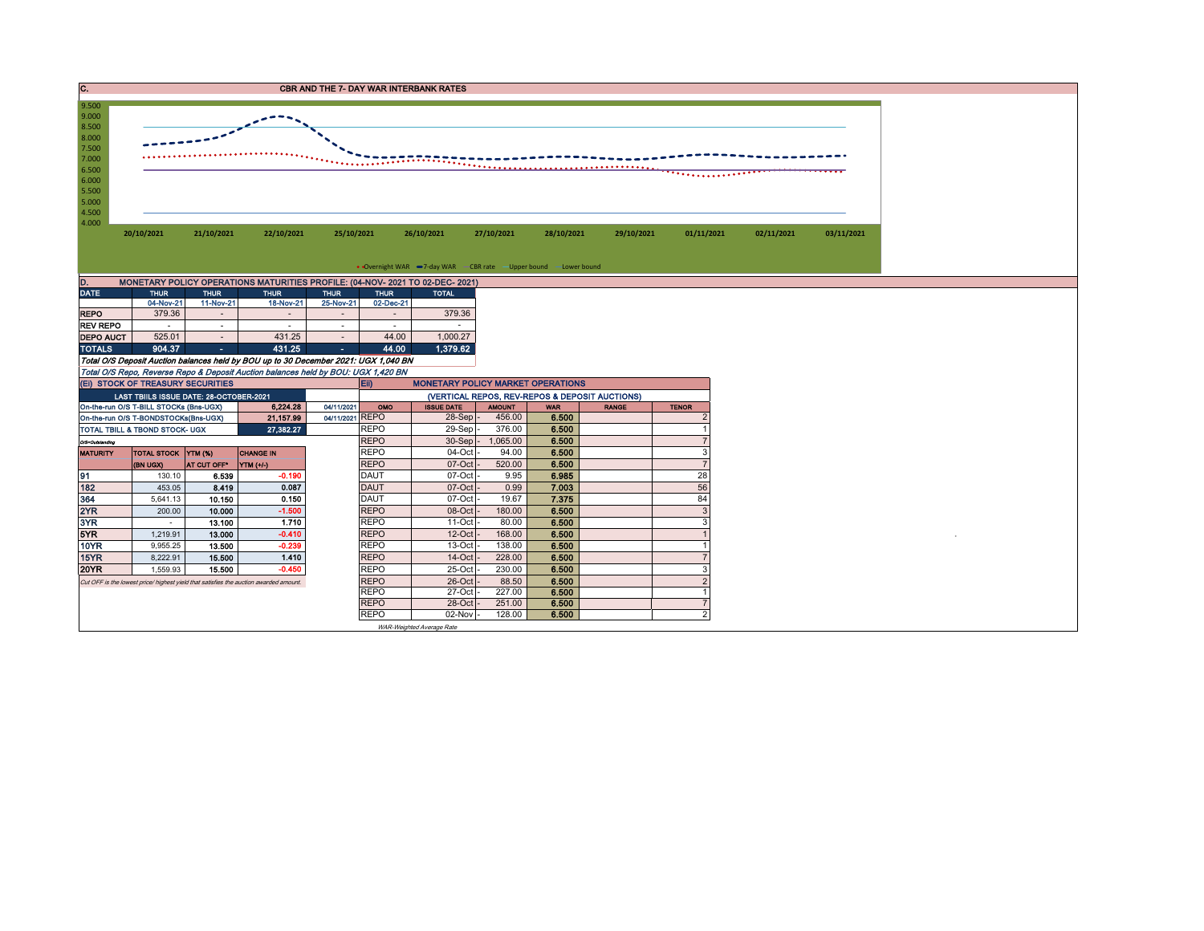| <b>CBR AND THE 7- DAY WAR INTERBANK RATES</b> |
|-----------------------------------------------|
|                                               |



| MONETARY POLICY OPERATIONS MATURITIES PROFILE: (04-NOV-2021 TO 02-DEC-2021)<br>D. |             |                          |             |             |             |              |  |  |  |  |  |  |  |
|-----------------------------------------------------------------------------------|-------------|--------------------------|-------------|-------------|-------------|--------------|--|--|--|--|--|--|--|
| <b>DATE</b>                                                                       | <b>THUR</b> | <b>THUR</b>              | <b>THUR</b> | <b>THUR</b> | <b>THUR</b> | <b>TOTAL</b> |  |  |  |  |  |  |  |
|                                                                                   | 04-Nov-21   | 11-Nov-21                | 18-Nov-21   | 25-Nov-21   | 02-Dec-21   |              |  |  |  |  |  |  |  |
| <b>REPO</b>                                                                       | 379.36      |                          | ۰           | ۰           |             | 379.36       |  |  |  |  |  |  |  |
| <b>REV REPO</b>                                                                   | ۰           | ۰                        |             | ۰           | ۰           |              |  |  |  |  |  |  |  |
| <b>DEPO AUCT</b>                                                                  | 525.01      | $\overline{\phantom{0}}$ | 431.25      | ۰           | 44.00       | 1.000.27     |  |  |  |  |  |  |  |
| <b>TOTALS</b>                                                                     | 904.37      | ٠                        | 431.25      | ٠           | 44.00       | 1,379.62     |  |  |  |  |  |  |  |

Total O/S Deposit Auction balances held by BOU up to 30 December 2021: UGX 1,040 BN Total O/S Repo, Reverse Repo & Deposit Auction balances held by BOU: UGX 1,420 BN

|                 | (EI) STOCK OF TREASURY SECURITIES         |                         |                                                                                       |                 | <b>MONETARY POLICY MARKET OPERATIONS</b><br>E  |                           |               |            |              |              |  |  |  |
|-----------------|-------------------------------------------|-------------------------|---------------------------------------------------------------------------------------|-----------------|------------------------------------------------|---------------------------|---------------|------------|--------------|--------------|--|--|--|
|                 | LAST TBIILS ISSUE DATE: 28-OCTOBER-2021   |                         |                                                                                       |                 | (VERTICAL REPOS, REV-REPOS & DEPOSIT AUCTIONS) |                           |               |            |              |              |  |  |  |
|                 | On-the-run O/S T-BILL STOCKs (Bns-UGX)    |                         | 6.224.28                                                                              | 04/11/2021      | OMO                                            | <b>ISSUE DATE</b>         | <b>AMOUNT</b> | <b>WAR</b> | <b>RANGE</b> | <b>TENOR</b> |  |  |  |
|                 | On-the-run O/S T-BONDSTOCKs(Bns-UGX)      |                         | 21,157.99                                                                             | 04/11/2021 REPO |                                                | $28-Sep$ -                | 456.00        | 6.500      |              |              |  |  |  |
|                 | <b>TOTAL TBILL &amp; TBOND STOCK- UGX</b> |                         | 27,382.27                                                                             |                 | <b>REPO</b>                                    | $29-Sep$ -                | 376.00        | 6.500      |              |              |  |  |  |
| O/S=Outstanding |                                           |                         |                                                                                       |                 | <b>REPO</b>                                    | $30-Sep$ -                | ,065.00       | 6.500      |              |              |  |  |  |
| <b>MATURITY</b> | TOTAL STOCK YTM (%)                       |                         | <b>CHANGE IN</b>                                                                      |                 | <b>REPO</b>                                    | 04-Oct -                  | 94.00         | 6.500      |              |              |  |  |  |
|                 | (BN UGX)                                  | AT CUT OFF <sup>®</sup> | YTM (+/-)                                                                             |                 | <b>REPO</b>                                    | $07-Cct$ -                | 520.00        | 6.500      |              |              |  |  |  |
| 91              | 130.10                                    | 6.539                   | $-0.190$                                                                              |                 | DAUT                                           | 07-Oct -                  | 9.95          | 6.985      |              | 28           |  |  |  |
| 182             | 453.05                                    | 8.419                   | 0.087                                                                                 |                 | <b>DAUT</b>                                    | $07$ -Oct $-$             | 0.99          | 7.003      |              | 56           |  |  |  |
| 364             | 5,641.13                                  | 10.150                  | 0.150                                                                                 |                 | DAUT                                           | $07$ -Oct $-$             | 19.67         | 7.375      |              | 84           |  |  |  |
| 2YR             | 200.00                                    | 10.000                  | $-1.500$                                                                              |                 | <b>REPO</b>                                    | 08-Oct -                  | 180.00        | 6.500      |              |              |  |  |  |
| 3YR             |                                           | 13.100                  | 1.710                                                                                 |                 | <b>REPO</b>                                    | $11-Oct$ -                | 80.00         | 6.500      |              |              |  |  |  |
| 5YR             | 1,219.91                                  | 13.000                  | $-0.410$                                                                              |                 | <b>REPO</b>                                    | $12$ -Oct $-$             | 168.00        | 6.500      |              |              |  |  |  |
| <b>10YR</b>     | 9,955.25                                  | 13.500                  | $-0.239$                                                                              |                 | <b>REPO</b>                                    | $13$ -Oct $-$             | 138.00        | 6.500      |              |              |  |  |  |
| <b>15YR</b>     | 8,222.91                                  | 15.500                  | 1.410                                                                                 |                 | <b>REPO</b>                                    | $14$ -Oct $-$             | 228.00        | 6.500      |              |              |  |  |  |
| <b>20YR</b>     | 1,559.93                                  | 15.500                  | $-0.450$                                                                              |                 | <b>REPO</b>                                    | 25-Oct -                  | 230.00        | 6.500      |              |              |  |  |  |
|                 |                                           |                         | Cut OFF is the lowest price/ highest yield that satisfies the auction awarded amount. |                 | <b>REPO</b>                                    | 26-Oct -                  | 88.50         | 6.500      |              |              |  |  |  |
|                 |                                           |                         |                                                                                       |                 | <b>REPO</b>                                    | 27-Oct -                  | 227.00        | 6.500      |              |              |  |  |  |
|                 |                                           |                         |                                                                                       |                 | <b>REPO</b>                                    | 28-Oct -                  | 251.00        | 6.500      |              |              |  |  |  |
|                 |                                           |                         |                                                                                       |                 | <b>REPO</b>                                    | $02$ -Nov $-$             | 128.00        | 6.500      |              |              |  |  |  |
|                 |                                           |                         |                                                                                       |                 |                                                | WAR-Weighted Average Rate |               |            |              |              |  |  |  |